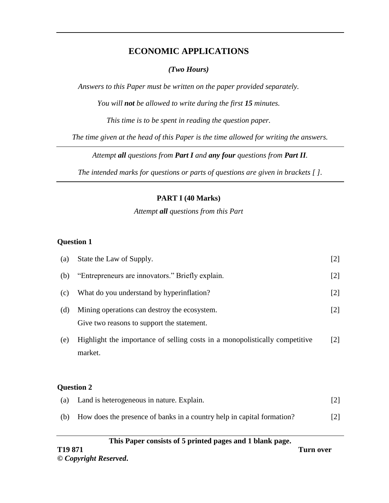# **ECONOMIC APPLICATIONS**

# *(Two Hours)*

*Answers to this Paper must be written on the paper provided separately.*

*You will not be allowed to write during the first 15 minutes.*

*This time is to be spent in reading the question paper.*

*The time given at the head of this Paper is the time allowed for writing the answers.*

*Attempt all questions from Part I and any four questions from Part II.*

*The intended marks for questions or parts of questions are given in brackets [ ].*

# **PART I (40 Marks)**

*Attempt all questions from this Part*

# **Question 1**

| (a) | State the Law of Supply.                                                                   | $[2]$             |
|-----|--------------------------------------------------------------------------------------------|-------------------|
| (b) | "Entrepreneurs are innovators." Briefly explain.                                           | $[2]$             |
| (c) | What do you understand by hyperinflation?                                                  | $[2]$             |
| (d) | Mining operations can destroy the ecosystem.<br>Give two reasons to support the statement. | $[2]$             |
| (e) | Highlight the importance of selling costs in a monopolistically competitive<br>market.     | $\lceil 2 \rceil$ |
|     | <b>Question 2</b>                                                                          |                   |
| (a) | Land is heterogeneous in nature. Explain.                                                  | $[2]$             |
| (b) | How does the presence of banks in a country help in capital formation?                     | [2]               |

#### **This Paper consists of 5 printed pages and 1 blank page.**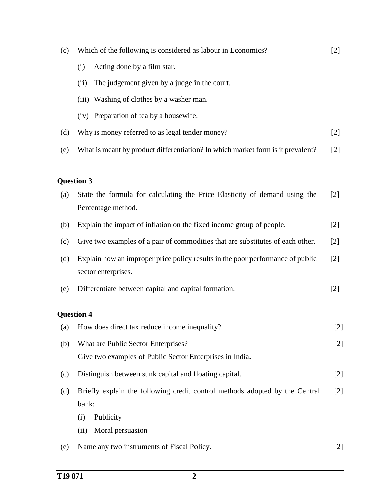(c) Which of the following is considered as labour in Economics? (i) Acting done by a film star. (ii) The judgement given by a judge in the court. (iii) Washing of clothes by a washer man. (iv) Preparation of tea by a housewife. [2] (d) Why is money referred to as legal tender money? [2] (e) What is meant by product differentiation? In which market form is it prevalent? [2] **Question 3** (a) State the formula for calculating the Price Elasticity of demand using the Percentage method. [2] (b) Explain the impact of inflation on the fixed income group of people. [2] (c) Give two examples of a pair of commodities that are substitutes of each other. [2] (d) Explain how an improper price policy results in the poor performance of public sector enterprises. [2] (e) Differentiate between capital and capital formation. [2] **Question 4** (a) How does direct tax reduce income inequality? [2] (b) What are Public Sector Enterprises? Give two examples of Public Sector Enterprises in India. [2] (c) Distinguish between sunk capital and floating capital. [2] (d) Briefly explain the following credit control methods adopted by the Central bank: (i) Publicity (ii) Moral persuasion [2] (e) Name any two instruments of Fiscal Policy. [2]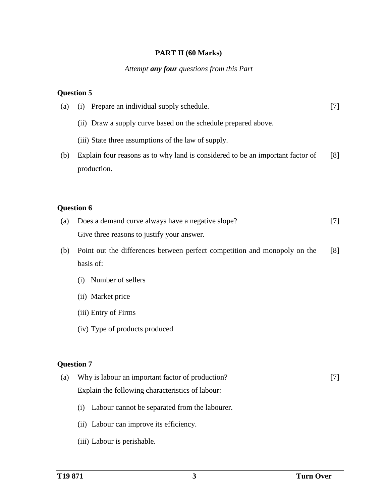## **PART II (60 Marks)**

#### *Attempt any four questions from this Part*

### **Question 5**

| (a) | Prepare an individual supply schedule.<br>$\left( 1\right)$                    |     |
|-----|--------------------------------------------------------------------------------|-----|
|     | (ii) Draw a supply curve based on the schedule prepared above.                 |     |
|     | (iii) State three assumptions of the law of supply.                            |     |
| (b) | Explain four reasons as to why land is considered to be an important factor of | [8] |
|     | production.                                                                    |     |
|     |                                                                                |     |
|     | <b>Question 6</b>                                                              |     |
|     |                                                                                |     |

- (a) Does a demand curve always have a negative slope? Give three reasons to justify your answer. [7]
- (b) Point out the differences between perfect competition and monopoly on the basis of: [8]
	- (i) Number of sellers
	- (ii) Market price
	- (iii) Entry of Firms
	- (iv) Type of products produced

### **Question 7**

- (a) Why is labour an important factor of production? Explain the following characteristics of labour: [7]
	- (i) Labour cannot be separated from the labourer.
	- (ii) Labour can improve its efficiency.
	- (iii) Labour is perishable.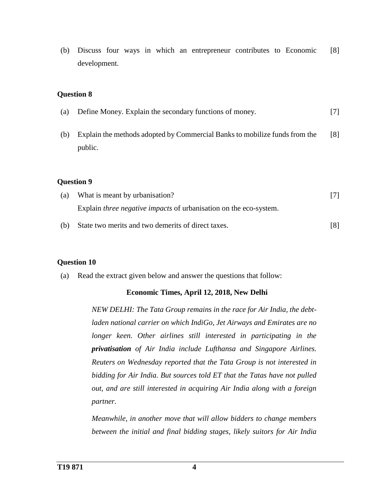(b) Discuss four ways in which an entrepreneur contributes to Economic development. [8]

### **Question 8**

(a) Define Money. Explain the secondary functions of money. [7] (b) Explain the methods adopted by Commercial Banks to mobilize funds from the public. [8]

#### **Question 9**

- (a) What is meant by urbanisation? Explain *three negative impacts* of urbanisation on the eco-system. [7]
- (b) State two merits and two demerits of direct taxes. [8]

### **Question 10**

(a) Read the extract given below and answer the questions that follow:

### **Economic Times, April 12, 2018, New Delhi**

*NEW DELHI: The Tata Group remains in the race for Air India, the debtladen national carrier on which IndiGo, Jet Airways and Emirates are no longer keen. Other airlines still interested in participating in the privatisation of Air India include Lufthansa and Singapore Airlines. Reuters on Wednesday reported that the Tata Group is not interested in bidding for Air India. But sources told ET that the Tatas have not pulled out, and are still interested in acquiring Air India along with a foreign partner.*

*Meanwhile, in another move that will allow bidders to change members between the initial and final bidding stages, likely suitors for Air India*